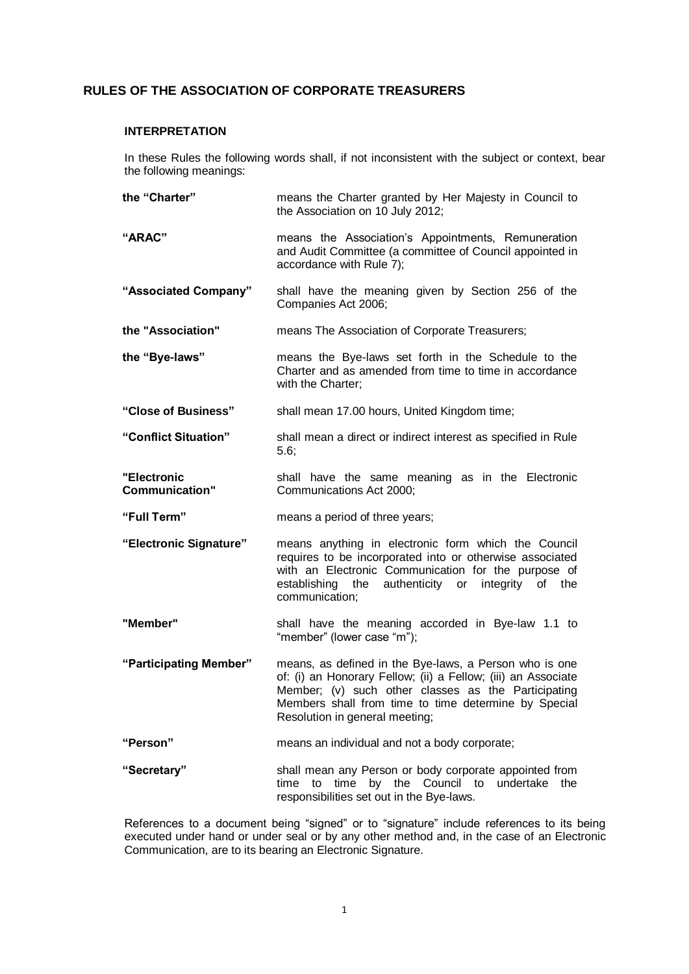# **RULES OF THE ASSOCIATION OF CORPORATE TREASURERS**

### **INTERPRETATION**

**the "Charter"**

In these Rules the following words shall, if not inconsistent with the subject or context, bear the following meanings:

means the Charter granted by Her Majesty in Council to

**"ARAC"** the Association on 10 July 2012; means the Association's Appointments, Remuneration and Audit Committee (a committee of Council appointed in accordance with Rule 7); **"Associated Company"** shall have the meaning given by Section 256 of the Companies Act 2006; **the "Association"** means The Association of Corporate Treasurers; **the "Bye-laws"** means the Bye-laws set forth in the Schedule to the Charter and as amended from time to time in accordance

**"Close of Business"** shall mean 17.00 hours, United Kingdom time;

with the Charter;

- **"Conflict Situation"** shall mean a direct or indirect interest as specified in Rule 5.6;
- **"Electronic Communication"** shall have the same meaning as in the Electronic Communications Act 2000;
- **"Full Term"** means a period of three years;
- **"Electronic Signature"** means anything in electronic form which the Council requires to be incorporated into or otherwise associated with an Electronic Communication for the purpose of establishing the authenticity or integrity of the communication;
- **"Member"** shall have the meaning accorded in Bye-law 1.1 to "member" (lower case "m");
- **"Participating Member"** means, as defined in the Bye-laws, a Person who is one of: (i) an Honorary Fellow; (ii) a Fellow; (iii) an Associate Member; (v) such other classes as the Participating Members shall from time to time determine by Special Resolution in general meeting;
- **"Person"** means an individual and not a body corporate;
- **"Secretary"** shall mean any Person or body corporate appointed from time to time by the Council to undertake the responsibilities set out in the Bye-laws.

References to a document being "signed" or to "signature" include references to its being executed under hand or under seal or by any other method and, in the case of an Electronic Communication, are to its bearing an Electronic Signature.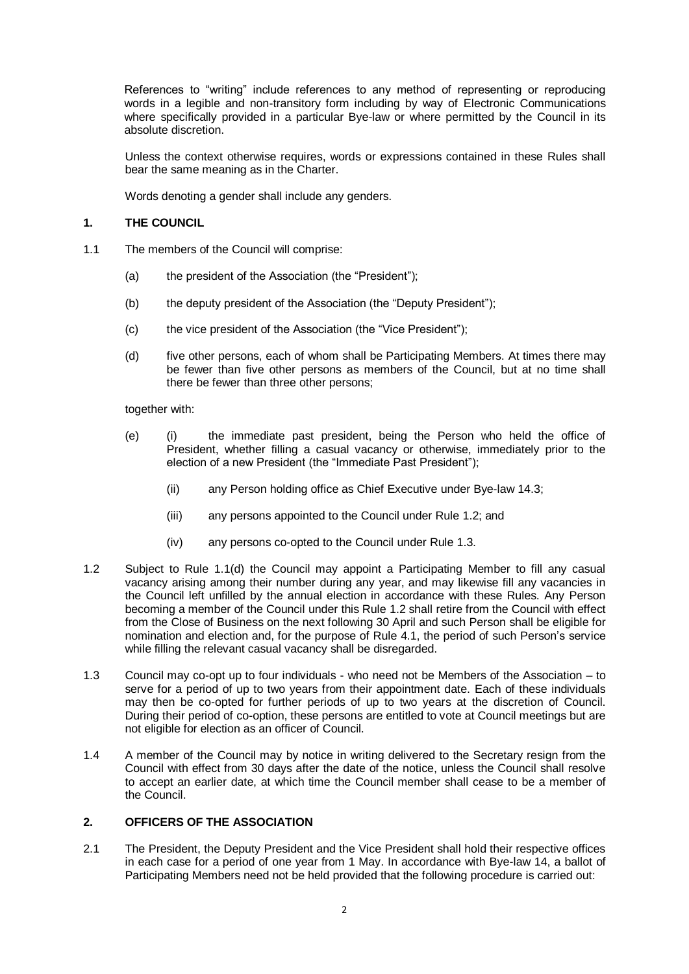References to "writing" include references to any method of representing or reproducing words in a legible and non-transitory form including by way of Electronic Communications where specifically provided in a particular Bye-law or where permitted by the Council in its absolute discretion.

Unless the context otherwise requires, words or expressions contained in these Rules shall bear the same meaning as in the Charter.

Words denoting a gender shall include any genders.

## **1. THE COUNCIL**

- 1.1 The members of the Council will comprise:
	- (a) the president of the Association (the "President");
	- (b) the deputy president of the Association (the "Deputy President");
	- (c) the vice president of the Association (the "Vice President");
	- (d) five other persons, each of whom shall be Participating Members. At times there may be fewer than five other persons as members of the Council, but at no time shall there be fewer than three other persons;

together with:

- (e) (i) the immediate past president, being the Person who held the office of President, whether filling a casual vacancy or otherwise, immediately prior to the election of a new President (the "Immediate Past President");
	- (ii) any Person holding office as Chief Executive under Bye-law 14.3;
	- (iii) any persons appointed to the Council under Rule 1.2; and
	- (iv) any persons co-opted to the Council under Rule 1.3.
- 1.2 Subject to Rule 1.1(d) the Council may appoint a Participating Member to fill any casual vacancy arising among their number during any year, and may likewise fill any vacancies in the Council left unfilled by the annual election in accordance with these Rules. Any Person becoming a member of the Council under this Rule 1.2 shall retire from the Council with effect from the Close of Business on the next following 30 April and such Person shall be eligible for nomination and election and, for the purpose of Rule 4.1, the period of such Person's service while filling the relevant casual vacancy shall be disregarded.
- 1.3 Council may co-opt up to four individuals who need not be Members of the Association to serve for a period of up to two years from their appointment date. Each of these individuals may then be co-opted for further periods of up to two years at the discretion of Council. During their period of co-option, these persons are entitled to vote at Council meetings but are not eligible for election as an officer of Council.
- 1.4 A member of the Council may by notice in writing delivered to the Secretary resign from the Council with effect from 30 days after the date of the notice, unless the Council shall resolve to accept an earlier date, at which time the Council member shall cease to be a member of the Council.

## **2. OFFICERS OF THE ASSOCIATION**

2.1 The President, the Deputy President and the Vice President shall hold their respective offices in each case for a period of one year from 1 May. In accordance with Bye-law 14, a ballot of Participating Members need not be held provided that the following procedure is carried out: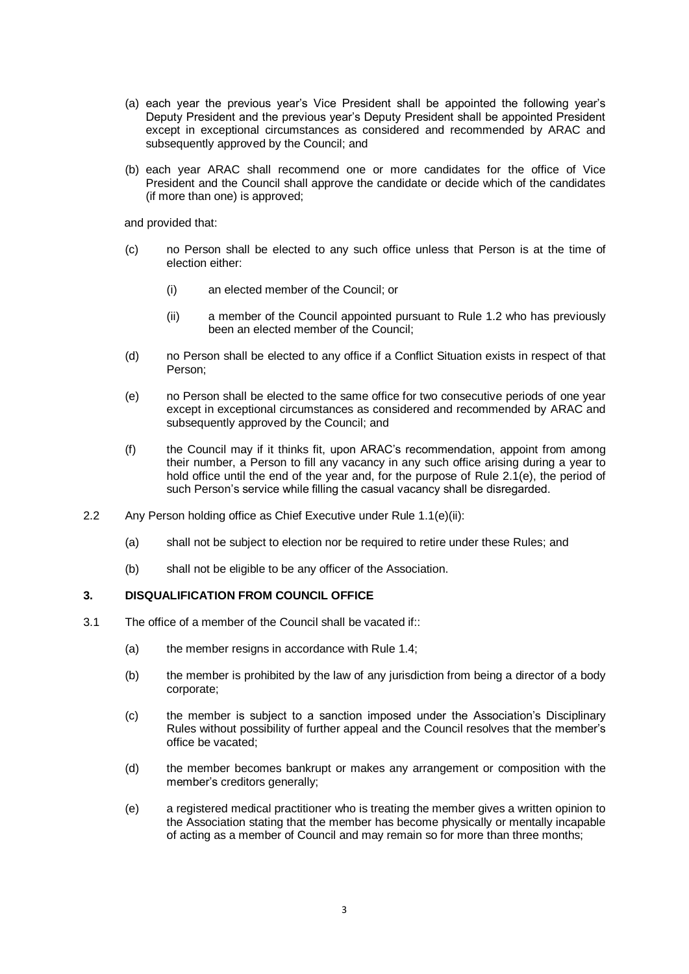- (a) each year the previous year's Vice President shall be appointed the following year's Deputy President and the previous year's Deputy President shall be appointed President except in exceptional circumstances as considered and recommended by ARAC and subsequently approved by the Council; and
- (b) each year ARAC shall recommend one or more candidates for the office of Vice President and the Council shall approve the candidate or decide which of the candidates (if more than one) is approved;

and provided that:

- (c) no Person shall be elected to any such office unless that Person is at the time of election either:
	- (i) an elected member of the Council; or
	- (ii) a member of the Council appointed pursuant to Rule 1.2 who has previously been an elected member of the Council;
- (d) no Person shall be elected to any office if a Conflict Situation exists in respect of that Person;
- (e) no Person shall be elected to the same office for two consecutive periods of one year except in exceptional circumstances as considered and recommended by ARAC and subsequently approved by the Council; and
- (f) the Council may if it thinks fit, upon ARAC's recommendation, appoint from among their number, a Person to fill any vacancy in any such office arising during a year to hold office until the end of the year and, for the purpose of Rule 2.1(e), the period of such Person's service while filling the casual vacancy shall be disregarded.
- 2.2 Any Person holding office as Chief Executive under Rule 1.1(e)(ii):
	- (a) shall not be subject to election nor be required to retire under these Rules; and
	- (b) shall not be eligible to be any officer of the Association.

## **3. DISQUALIFICATION FROM COUNCIL OFFICE**

- 3.1 The office of a member of the Council shall be vacated if::
	- (a) the member resigns in accordance with Rule 1.4;
	- (b) the member is prohibited by the law of any jurisdiction from being a director of a body corporate;
	- (c) the member is subject to a sanction imposed under the Association's Disciplinary Rules without possibility of further appeal and the Council resolves that the member's office be vacated;
	- (d) the member becomes bankrupt or makes any arrangement or composition with the member's creditors generally;
	- (e) a registered medical practitioner who is treating the member gives a written opinion to the Association stating that the member has become physically or mentally incapable of acting as a member of Council and may remain so for more than three months;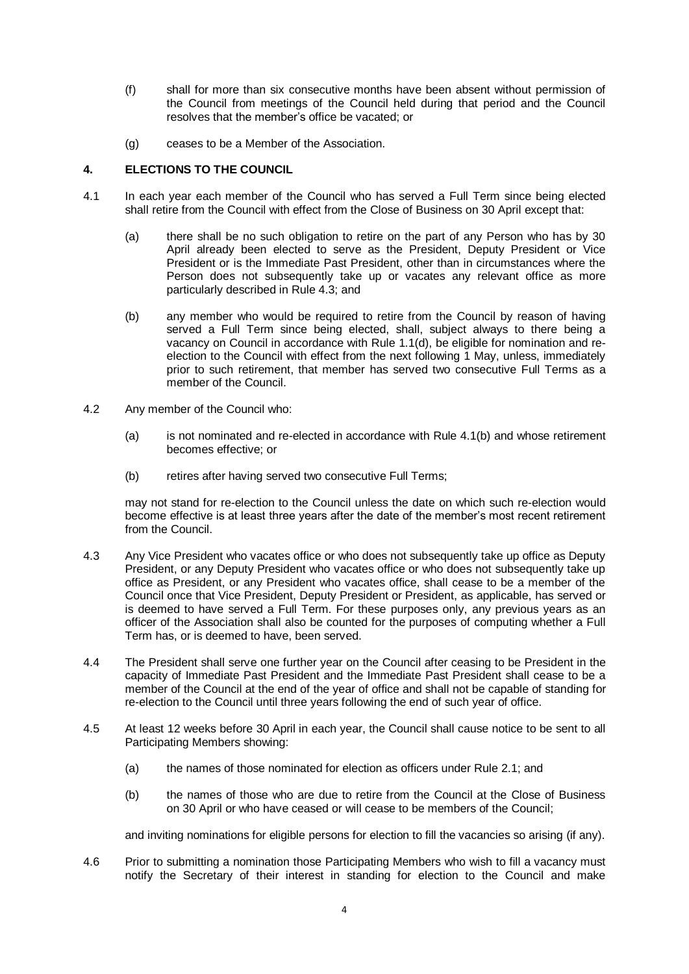- (f) shall for more than six consecutive months have been absent without permission of the Council from meetings of the Council held during that period and the Council resolves that the member's office be vacated; or
- (g) ceases to be a Member of the Association.

# **4. ELECTIONS TO THE COUNCIL**

- 4.1 In each year each member of the Council who has served a Full Term since being elected shall retire from the Council with effect from the Close of Business on 30 April except that:
	- (a) there shall be no such obligation to retire on the part of any Person who has by 30 April already been elected to serve as the President, Deputy President or Vice President or is the Immediate Past President, other than in circumstances where the Person does not subsequently take up or vacates any relevant office as more particularly described in Rule 4.3; and
	- (b) any member who would be required to retire from the Council by reason of having served a Full Term since being elected, shall, subject always to there being a vacancy on Council in accordance with Rule 1.1(d), be eligible for nomination and reelection to the Council with effect from the next following 1 May, unless, immediately prior to such retirement, that member has served two consecutive Full Terms as a member of the Council.
- 4.2 Any member of the Council who:
	- (a) is not nominated and re-elected in accordance with Rule 4.1(b) and whose retirement becomes effective; or
	- (b) retires after having served two consecutive Full Terms;

may not stand for re-election to the Council unless the date on which such re-election would become effective is at least three years after the date of the member's most recent retirement from the Council.

- 4.3 Any Vice President who vacates office or who does not subsequently take up office as Deputy President, or any Deputy President who vacates office or who does not subsequently take up office as President, or any President who vacates office, shall cease to be a member of the Council once that Vice President, Deputy President or President, as applicable, has served or is deemed to have served a Full Term. For these purposes only, any previous years as an officer of the Association shall also be counted for the purposes of computing whether a Full Term has, or is deemed to have, been served.
- 4.4 The President shall serve one further year on the Council after ceasing to be President in the capacity of Immediate Past President and the Immediate Past President shall cease to be a member of the Council at the end of the year of office and shall not be capable of standing for re-election to the Council until three years following the end of such year of office.
- 4.5 At least 12 weeks before 30 April in each year, the Council shall cause notice to be sent to all Participating Members showing:
	- (a) the names of those nominated for election as officers under Rule 2.1; and
	- (b) the names of those who are due to retire from the Council at the Close of Business on 30 April or who have ceased or will cease to be members of the Council;

and inviting nominations for eligible persons for election to fill the vacancies so arising (if any).

4.6 Prior to submitting a nomination those Participating Members who wish to fill a vacancy must notify the Secretary of their interest in standing for election to the Council and make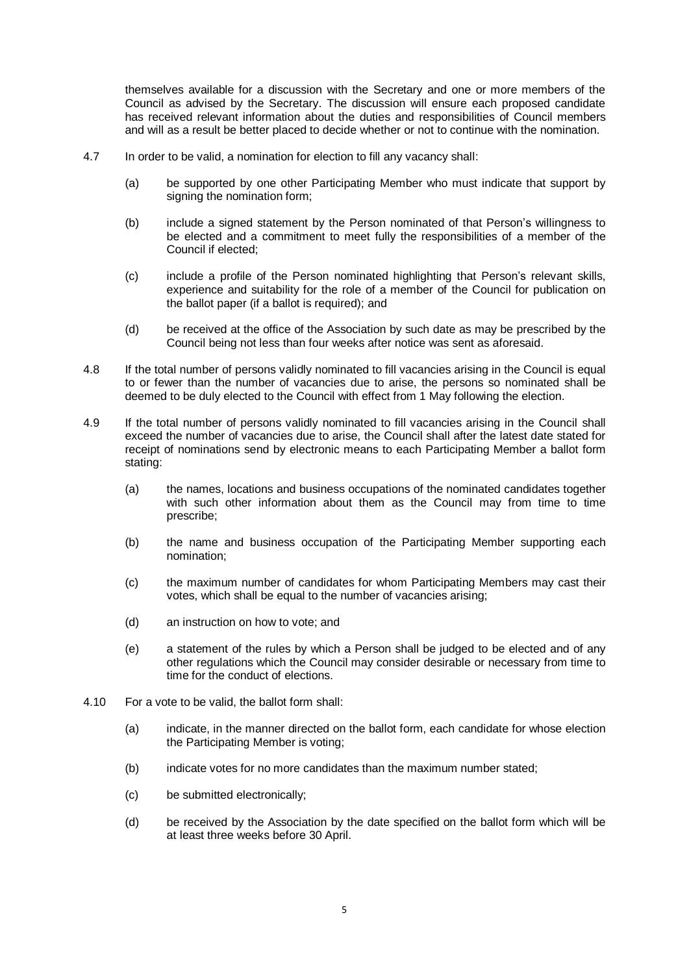themselves available for a discussion with the Secretary and one or more members of the Council as advised by the Secretary. The discussion will ensure each proposed candidate has received relevant information about the duties and responsibilities of Council members and will as a result be better placed to decide whether or not to continue with the nomination.

- 4.7 In order to be valid, a nomination for election to fill any vacancy shall:
	- (a) be supported by one other Participating Member who must indicate that support by signing the nomination form;
	- (b) include a signed statement by the Person nominated of that Person's willingness to be elected and a commitment to meet fully the responsibilities of a member of the Council if elected;
	- (c) include a profile of the Person nominated highlighting that Person's relevant skills, experience and suitability for the role of a member of the Council for publication on the ballot paper (if a ballot is required); and
	- (d) be received at the office of the Association by such date as may be prescribed by the Council being not less than four weeks after notice was sent as aforesaid.
- 4.8 If the total number of persons validly nominated to fill vacancies arising in the Council is equal to or fewer than the number of vacancies due to arise, the persons so nominated shall be deemed to be duly elected to the Council with effect from 1 May following the election.
- 4.9 If the total number of persons validly nominated to fill vacancies arising in the Council shall exceed the number of vacancies due to arise, the Council shall after the latest date stated for receipt of nominations send by electronic means to each Participating Member a ballot form stating:
	- (a) the names, locations and business occupations of the nominated candidates together with such other information about them as the Council may from time to time prescribe;
	- (b) the name and business occupation of the Participating Member supporting each nomination;
	- (c) the maximum number of candidates for whom Participating Members may cast their votes, which shall be equal to the number of vacancies arising;
	- (d) an instruction on how to vote; and
	- (e) a statement of the rules by which a Person shall be judged to be elected and of any other regulations which the Council may consider desirable or necessary from time to time for the conduct of elections.
- 4.10 For a vote to be valid, the ballot form shall:
	- (a) indicate, in the manner directed on the ballot form, each candidate for whose election the Participating Member is voting;
	- (b) indicate votes for no more candidates than the maximum number stated;
	- (c) be submitted electronically;
	- (d) be received by the Association by the date specified on the ballot form which will be at least three weeks before 30 April.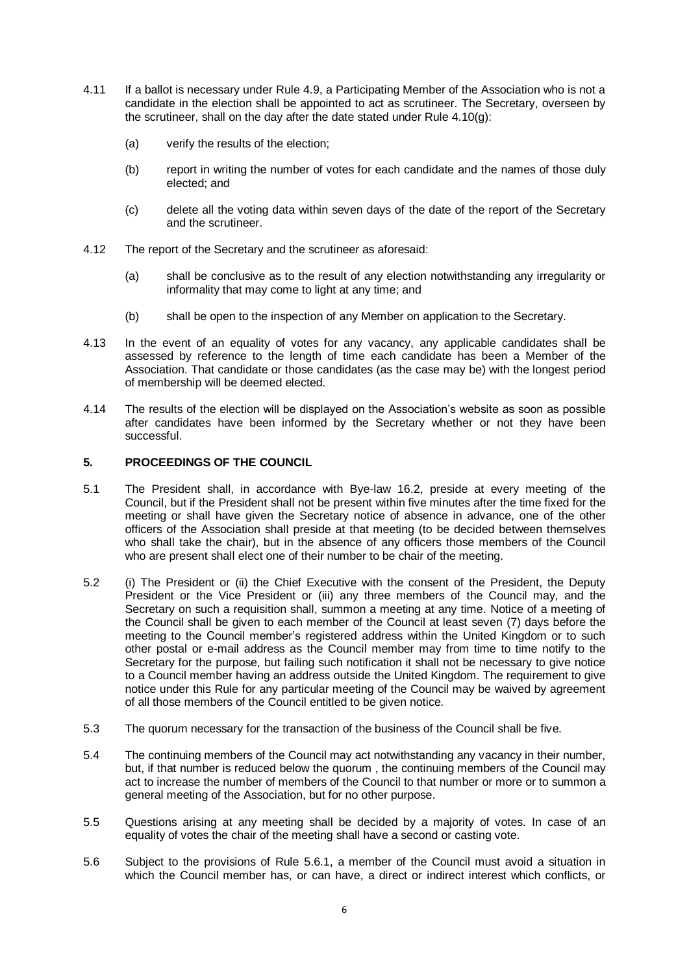- 4.11 If a ballot is necessary under Rule 4.9, a Participating Member of the Association who is not a candidate in the election shall be appointed to act as scrutineer. The Secretary, overseen by the scrutineer, shall on the day after the date stated under Rule 4.10(g):
	- (a) verify the results of the election;
	- (b) report in writing the number of votes for each candidate and the names of those duly elected; and
	- (c) delete all the voting data within seven days of the date of the report of the Secretary and the scrutineer.
- 4.12 The report of the Secretary and the scrutineer as aforesaid:
	- (a) shall be conclusive as to the result of any election notwithstanding any irregularity or informality that may come to light at any time; and
	- (b) shall be open to the inspection of any Member on application to the Secretary.
- 4.13 In the event of an equality of votes for any vacancy, any applicable candidates shall be assessed by reference to the length of time each candidate has been a Member of the Association. That candidate or those candidates (as the case may be) with the longest period of membership will be deemed elected.
- 4.14 The results of the election will be displayed on the Association's website as soon as possible after candidates have been informed by the Secretary whether or not they have been successful.

# **5. PROCEEDINGS OF THE COUNCIL**

- 5.1 The President shall, in accordance with Bye-law 16.2, preside at every meeting of the Council, but if the President shall not be present within five minutes after the time fixed for the meeting or shall have given the Secretary notice of absence in advance, one of the other officers of the Association shall preside at that meeting (to be decided between themselves who shall take the chair), but in the absence of any officers those members of the Council who are present shall elect one of their number to be chair of the meeting.
- 5.2 (i) The President or (ii) the Chief Executive with the consent of the President, the Deputy President or the Vice President or (iii) any three members of the Council may, and the Secretary on such a requisition shall, summon a meeting at any time. Notice of a meeting of the Council shall be given to each member of the Council at least seven (7) days before the meeting to the Council member's registered address within the United Kingdom or to such other postal or e-mail address as the Council member may from time to time notify to the Secretary for the purpose, but failing such notification it shall not be necessary to give notice to a Council member having an address outside the United Kingdom. The requirement to give notice under this Rule for any particular meeting of the Council may be waived by agreement of all those members of the Council entitled to be given notice.
- 5.3 The quorum necessary for the transaction of the business of the Council shall be five.
- 5.4 The continuing members of the Council may act notwithstanding any vacancy in their number, but, if that number is reduced below the quorum , the continuing members of the Council may act to increase the number of members of the Council to that number or more or to summon a general meeting of the Association, but for no other purpose.
- 5.5 Questions arising at any meeting shall be decided by a majority of votes. In case of an equality of votes the chair of the meeting shall have a second or casting vote.
- 5.6 Subject to the provisions of Rule 5.6.1, a member of the Council must avoid a situation in which the Council member has, or can have, a direct or indirect interest which conflicts, or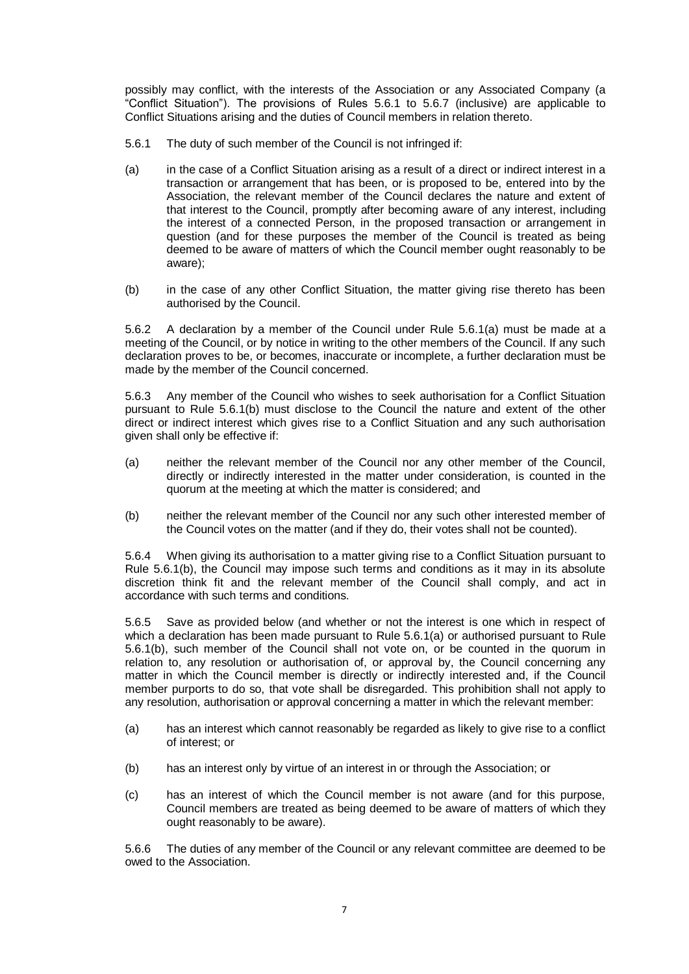possibly may conflict, with the interests of the Association or any Associated Company (a "Conflict Situation"). The provisions of Rules 5.6.1 to 5.6.7 (inclusive) are applicable to Conflict Situations arising and the duties of Council members in relation thereto.

- 5.6.1 The duty of such member of the Council is not infringed if:
- (a) in the case of a Conflict Situation arising as a result of a direct or indirect interest in a transaction or arrangement that has been, or is proposed to be, entered into by the Association, the relevant member of the Council declares the nature and extent of that interest to the Council, promptly after becoming aware of any interest, including the interest of a connected Person, in the proposed transaction or arrangement in question (and for these purposes the member of the Council is treated as being deemed to be aware of matters of which the Council member ought reasonably to be aware);
- (b) in the case of any other Conflict Situation, the matter giving rise thereto has been authorised by the Council.

5.6.2 A declaration by a member of the Council under Rule 5.6.1(a) must be made at a meeting of the Council, or by notice in writing to the other members of the Council. If any such declaration proves to be, or becomes, inaccurate or incomplete, a further declaration must be made by the member of the Council concerned.

5.6.3 Any member of the Council who wishes to seek authorisation for a Conflict Situation pursuant to Rule 5.6.1(b) must disclose to the Council the nature and extent of the other direct or indirect interest which gives rise to a Conflict Situation and any such authorisation given shall only be effective if:

- (a) neither the relevant member of the Council nor any other member of the Council, directly or indirectly interested in the matter under consideration, is counted in the quorum at the meeting at which the matter is considered; and
- (b) neither the relevant member of the Council nor any such other interested member of the Council votes on the matter (and if they do, their votes shall not be counted).

5.6.4 When giving its authorisation to a matter giving rise to a Conflict Situation pursuant to Rule 5.6.1(b), the Council may impose such terms and conditions as it may in its absolute discretion think fit and the relevant member of the Council shall comply, and act in accordance with such terms and conditions.

5.6.5 Save as provided below (and whether or not the interest is one which in respect of which a declaration has been made pursuant to Rule 5.6.1(a) or authorised pursuant to Rule 5.6.1(b), such member of the Council shall not vote on, or be counted in the quorum in relation to, any resolution or authorisation of, or approval by, the Council concerning any matter in which the Council member is directly or indirectly interested and, if the Council member purports to do so, that vote shall be disregarded. This prohibition shall not apply to any resolution, authorisation or approval concerning a matter in which the relevant member:

- (a) has an interest which cannot reasonably be regarded as likely to give rise to a conflict of interest; or
- (b) has an interest only by virtue of an interest in or through the Association; or
- (c) has an interest of which the Council member is not aware (and for this purpose, Council members are treated as being deemed to be aware of matters of which they ought reasonably to be aware).

5.6.6 The duties of any member of the Council or any relevant committee are deemed to be owed to the Association.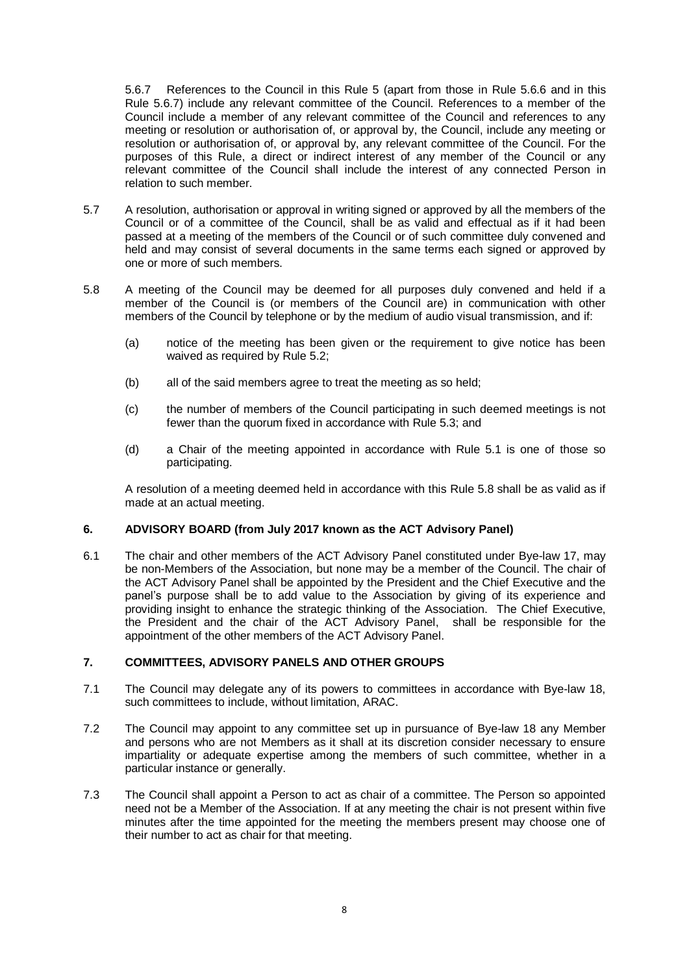5.6.7 References to the Council in this Rule 5 (apart from those in Rule 5.6.6 and in this Rule 5.6.7) include any relevant committee of the Council. References to a member of the Council include a member of any relevant committee of the Council and references to any meeting or resolution or authorisation of, or approval by, the Council, include any meeting or resolution or authorisation of, or approval by, any relevant committee of the Council. For the purposes of this Rule, a direct or indirect interest of any member of the Council or any relevant committee of the Council shall include the interest of any connected Person in relation to such member.

- 5.7 A resolution, authorisation or approval in writing signed or approved by all the members of the Council or of a committee of the Council, shall be as valid and effectual as if it had been passed at a meeting of the members of the Council or of such committee duly convened and held and may consist of several documents in the same terms each signed or approved by one or more of such members.
- 5.8 A meeting of the Council may be deemed for all purposes duly convened and held if a member of the Council is (or members of the Council are) in communication with other members of the Council by telephone or by the medium of audio visual transmission, and if:
	- (a) notice of the meeting has been given or the requirement to give notice has been waived as required by Rule 5.2:
	- (b) all of the said members agree to treat the meeting as so held;
	- (c) the number of members of the Council participating in such deemed meetings is not fewer than the quorum fixed in accordance with Rule 5.3; and
	- (d) a Chair of the meeting appointed in accordance with Rule 5.1 is one of those so participating.

A resolution of a meeting deemed held in accordance with this Rule 5.8 shall be as valid as if made at an actual meeting.

### **6. ADVISORY BOARD (from July 2017 known as the ACT Advisory Panel)**

6.1 The chair and other members of the ACT Advisory Panel constituted under Bye-law 17, may be non-Members of the Association, but none may be a member of the Council. The chair of the ACT Advisory Panel shall be appointed by the President and the Chief Executive and the panel's purpose shall be to add value to the Association by giving of its experience and providing insight to enhance the strategic thinking of the Association. The Chief Executive, the President and the chair of the ACT Advisory Panel, shall be responsible for the appointment of the other members of the ACT Advisory Panel.

### **7. COMMITTEES, ADVISORY PANELS AND OTHER GROUPS**

- 7.1 The Council may delegate any of its powers to committees in accordance with Bye-law 18, such committees to include, without limitation, ARAC.
- 7.2 The Council may appoint to any committee set up in pursuance of Bye-law 18 any Member and persons who are not Members as it shall at its discretion consider necessary to ensure impartiality or adequate expertise among the members of such committee, whether in a particular instance or generally.
- 7.3 The Council shall appoint a Person to act as chair of a committee. The Person so appointed need not be a Member of the Association. If at any meeting the chair is not present within five minutes after the time appointed for the meeting the members present may choose one of their number to act as chair for that meeting.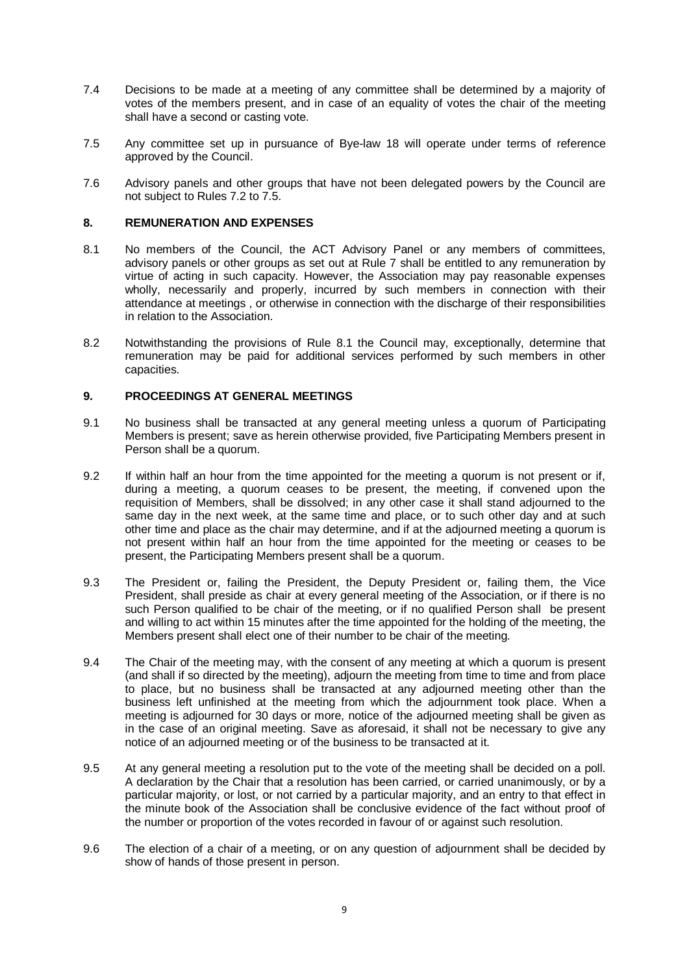- 7.4 Decisions to be made at a meeting of any committee shall be determined by a majority of votes of the members present, and in case of an equality of votes the chair of the meeting shall have a second or casting vote.
- 7.5 Any committee set up in pursuance of Bye-law 18 will operate under terms of reference approved by the Council.
- 7.6 Advisory panels and other groups that have not been delegated powers by the Council are not subject to Rules 7.2 to 7.5.

## **8. REMUNERATION AND EXPENSES**

- 8.1 No members of the Council, the ACT Advisory Panel or any members of committees, advisory panels or other groups as set out at Rule 7 shall be entitled to any remuneration by virtue of acting in such capacity. However, the Association may pay reasonable expenses wholly, necessarily and properly, incurred by such members in connection with their attendance at meetings , or otherwise in connection with the discharge of their responsibilities in relation to the Association.
- 8.2 Notwithstanding the provisions of Rule 8.1 the Council may, exceptionally, determine that remuneration may be paid for additional services performed by such members in other capacities.

## **9. PROCEEDINGS AT GENERAL MEETINGS**

- 9.1 No business shall be transacted at any general meeting unless a quorum of Participating Members is present; save as herein otherwise provided, five Participating Members present in Person shall be a quorum.
- 9.2 If within half an hour from the time appointed for the meeting a quorum is not present or if, during a meeting, a quorum ceases to be present, the meeting, if convened upon the requisition of Members, shall be dissolved; in any other case it shall stand adjourned to the same day in the next week, at the same time and place, or to such other day and at such other time and place as the chair may determine, and if at the adjourned meeting a quorum is not present within half an hour from the time appointed for the meeting or ceases to be present, the Participating Members present shall be a quorum.
- 9.3 The President or, failing the President, the Deputy President or, failing them, the Vice President, shall preside as chair at every general meeting of the Association, or if there is no such Person qualified to be chair of the meeting, or if no qualified Person shall be present and willing to act within 15 minutes after the time appointed for the holding of the meeting, the Members present shall elect one of their number to be chair of the meeting.
- 9.4 The Chair of the meeting may, with the consent of any meeting at which a quorum is present (and shall if so directed by the meeting), adjourn the meeting from time to time and from place to place, but no business shall be transacted at any adjourned meeting other than the business left unfinished at the meeting from which the adjournment took place. When a meeting is adjourned for 30 days or more, notice of the adjourned meeting shall be given as in the case of an original meeting. Save as aforesaid, it shall not be necessary to give any notice of an adjourned meeting or of the business to be transacted at it.
- 9.5 At any general meeting a resolution put to the vote of the meeting shall be decided on a poll. A declaration by the Chair that a resolution has been carried, or carried unanimously, or by a particular majority, or lost, or not carried by a particular majority, and an entry to that effect in the minute book of the Association shall be conclusive evidence of the fact without proof of the number or proportion of the votes recorded in favour of or against such resolution.
- 9.6 The election of a chair of a meeting, or on any question of adjournment shall be decided by show of hands of those present in person.